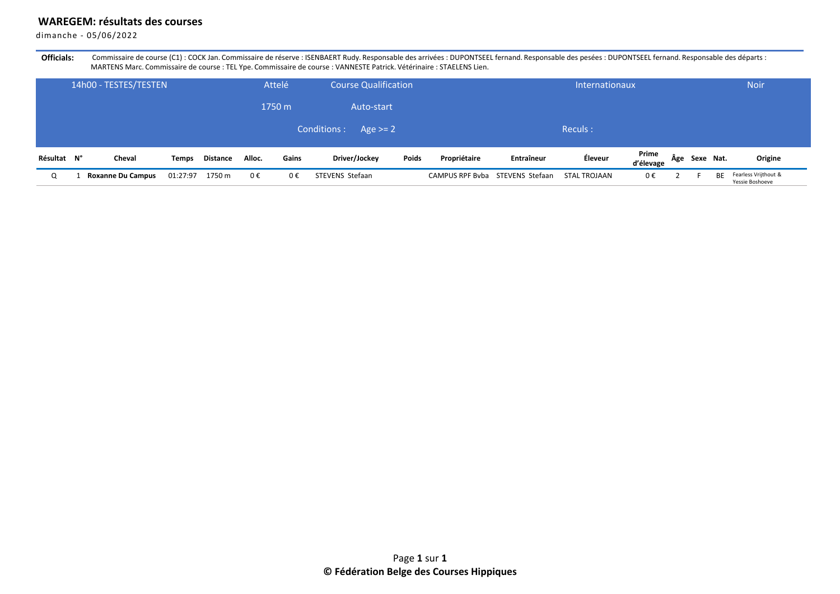## **WAREGEM: résultats des courses**

dimanche - 05/06/2022

Officials: Commissaire de course (C1) : COCK Jan. Commissaire de réserve : ISENBAERT Rudy. Responsable des arrivées : DUPONTSEEL fernand. Responsable des entes : DUPONTSEEL fernand. Responsable des départs : MARTENS Marc. Commissaire de course : TEL Ype. Commissaire de course : VANNESTE Patrick. Vétérinaire : STAELENS Lien.

|             | 14h00 - TESTES/TESTEN    |              |          |        | Attelé | <b>Course Qualification</b> |       |                                 | Internationaux |              |                    |  |               |    | <b>Noir</b>                             |  |
|-------------|--------------------------|--------------|----------|--------|--------|-----------------------------|-------|---------------------------------|----------------|--------------|--------------------|--|---------------|----|-----------------------------------------|--|
|             |                          |              |          |        | 1750 m | Auto-start                  |       |                                 |                |              |                    |  |               |    |                                         |  |
|             |                          |              |          |        |        | Conditions:<br>Age $>= 2$   |       |                                 |                | Reculs:      |                    |  |               |    |                                         |  |
| Résultat N° | Cheval                   | <b>Temps</b> | Distance | Alloc. | Gains  | Driver/Jockey               | Poids | Propriétaire                    | Entraîneur     | Éleveur      | Prime<br>d'élevage |  | Âge Sexe Nat. |    | Origine                                 |  |
| Q           | <b>Roxanne Du Campus</b> | 01:27:97     | 1750 m   | 0€     | 0€     | STEVENS Stefaan             |       | CAMPUS RPF Byba STEVENS Stefaan |                | STAL TROJAAN | 0€                 |  |               | ВF | Fearless Vrijthout &<br>Yessie Boshoeve |  |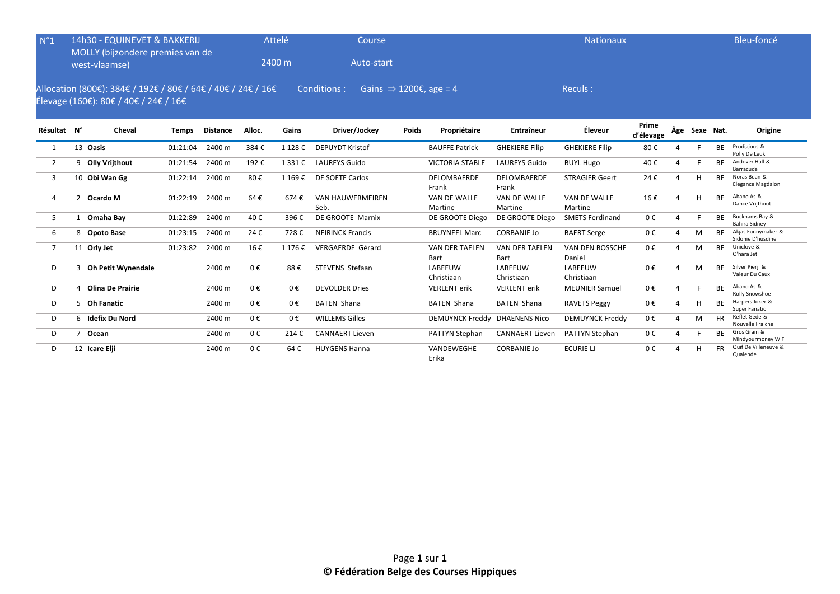| $N^{\circ}1$   |                | 14h30 - EQUINEVET & BAKKERIJ<br>MOLLY (bijzondere premies van de<br>west-vlaamse)                     |              |                 |         | Attelé<br>2400 m | Course<br>Auto-start                              |              |                               |                               | Bleu-foncé                |                    |                |               |           |                                         |
|----------------|----------------|-------------------------------------------------------------------------------------------------------|--------------|-----------------|---------|------------------|---------------------------------------------------|--------------|-------------------------------|-------------------------------|---------------------------|--------------------|----------------|---------------|-----------|-----------------------------------------|
|                |                | Allocation (800€): 384€ / 192€ / 80€ / 64€ / 40€ / 24€ / 16€<br>Élevage (160€): 80€ / 40€ / 24€ / 16€ |              |                 |         |                  | Conditions:<br>Gains $\Rightarrow$ 1200€, age = 4 |              |                               |                               | Reculs:                   |                    |                |               |           |                                         |
| Résultat N°    |                | Cheval                                                                                                | <b>Temps</b> | <b>Distance</b> | Alloc.  | Gains            | Driver/Jockey                                     | <b>Poids</b> | Propriétaire                  | Entraîneur                    | Éleveur                   | Prime<br>d'élevage |                | Âge Sexe Nat. |           | Origine                                 |
| 1              |                | 13 Oasis                                                                                              | 01:21:04     | 2400 m          | 384€    | 1 128€           | <b>DEPUYDT Kristof</b>                            |              | <b>BAUFFE Patrick</b>         | <b>GHEKIERE Filip</b>         | <b>GHEKIERE Filip</b>     | 80€                | 4              |               | <b>BE</b> | Prodigious &<br>Polly De Leuk           |
| $\overline{2}$ | 9              | Olly Vrijthout                                                                                        | 01:21:54     | 2400 m          | 192€    | 1331€            | <b>LAUREYS Guido</b>                              |              | <b>VICTORIA STABLE</b>        | <b>LAUREYS Guido</b>          | <b>BUYL Hugo</b>          | 40€                |                |               | <b>BE</b> | Andover Hall &<br>Barracuda             |
| 3              |                | 10 Obi Wan Gg                                                                                         | 01:22:14     | 2400 m          | 80€     | 1 169€           | DE SOETE Carlos                                   |              | DELOMBAERDE<br>Frank          | DELOMBAERDE<br>Frank          | <b>STRAGIER Geert</b>     | 24€                |                | H             | <b>BE</b> | Noras Bean &<br>Elegance Magdalon       |
| 4              | 2              | Ocardo M                                                                                              | 01:22:19     | 2400 m          | 64€     | 674€             | <b>VAN HAUWERMEIREN</b><br>Seb.                   |              | VAN DE WALLE<br>Martine       | VAN DE WALLE<br>Martine       | VAN DE WALLE<br>Martine   | 16€                |                | H             | <b>BE</b> | Abano As &<br>Dance Vrijthout           |
| 5              | 1              | Omaha Bay                                                                                             | 01:22:89     | 2400 m          | 40€     | 396€             | DE GROOTE Marnix                                  |              | DE GROOTE Diego               | DE GROOTE Diego               | <b>SMETS Ferdinand</b>    | 0€                 | $\Lambda$      |               | <b>BE</b> | Buckhams Bay &<br>Bahira Sidnev         |
| 6              |                | 8 Opoto Base                                                                                          | 01:23:15     | 2400 m          | 24€     | 728€             | <b>NEIRINCK Francis</b>                           |              | <b>BRUYNEEL Marc</b>          | <b>CORBANIE Jo</b>            | <b>BAERT Serge</b>        | 0€                 |                | M             | <b>BF</b> | Akjas Funnymaker &<br>Sidonie D'husdine |
| $\overline{7}$ |                | 11 Orly Jet                                                                                           | 01:23:82     | 2400 m          | 16€     | 1 176 €          | <b>VERGAERDE Gérard</b>                           |              | <b>VAN DER TAELEN</b><br>Bart | <b>VAN DER TAELEN</b><br>Bart | VAN DEN BOSSCHE<br>Daniel | 0€                 | 4              | M             | <b>BE</b> | Uniclove &<br>O'hara Jet                |
| D              |                | 3 Oh Petit Wynendale                                                                                  |              | 2400 m          | 0€      | 88€              | STEVENS Stefaan                                   |              | LABEEUW<br>Christiaan         | LABEEUW<br>Christiaan         | LABEEUW<br>Christiaan     | 0€                 |                | M             | <b>BE</b> | Silver Pierji &<br>Valeur Du Caux       |
| D              |                | <b>Olina De Prairie</b>                                                                               |              | 2400 m          | 0€      | $0 \in$          | <b>DEVOLDER Dries</b>                             |              | <b>VERLENT</b> erik           | <b>VERLENT</b> erik           | <b>MEUNIER Samuel</b>     | 0€                 | Δ              |               | <b>BE</b> | Abano As &<br>Rolly Snowshoe            |
| D              |                | 5 Oh Fanatic                                                                                          |              | 2400 m          | $0 \in$ | $0 \in$          | <b>BATEN Shana</b>                                |              | <b>BATEN Shana</b>            | <b>BATEN Shana</b>            | <b>RAVETS Peggy</b>       | 0€                 | $\Lambda$      | H             | <b>BF</b> | Harpers Joker &<br>Super Fanatic        |
| D              |                | 6 Idefix Du Nord                                                                                      |              | 2400 m          | $0 \in$ | $0 \in$          | <b>WILLEMS Gilles</b>                             |              | DEMUYNCK Freddy DHAENENS Nico |                               | <b>DEMUYNCK Freddy</b>    | 0€                 | $\overline{A}$ | M             | <b>FR</b> | Reflet Gede &<br>Nouvelle Fraiche       |
| D              | $\overline{7}$ | Ocean                                                                                                 |              | 2400 m          | $0 \in$ | 214€             | <b>CANNAERT Lieven</b>                            |              | <b>PATTYN Stephan</b>         | <b>CANNAERT Lieven</b>        | <b>PATTYN Stephan</b>     | 0€                 |                |               | <b>BE</b> | Gros Grain &<br>Mindyourmoney W F       |
| D              |                | 12 Icare Elji                                                                                         |              | 2400 m          | 0€      | 64€              | <b>HUYGENS Hanna</b>                              |              | VANDEWEGHE<br>Erika           | <b>CORBANIE Jo</b>            | <b>ECURIE LJ</b>          | 0€                 |                | H             | <b>FR</b> | Quif De Villeneuve &<br>Qualende        |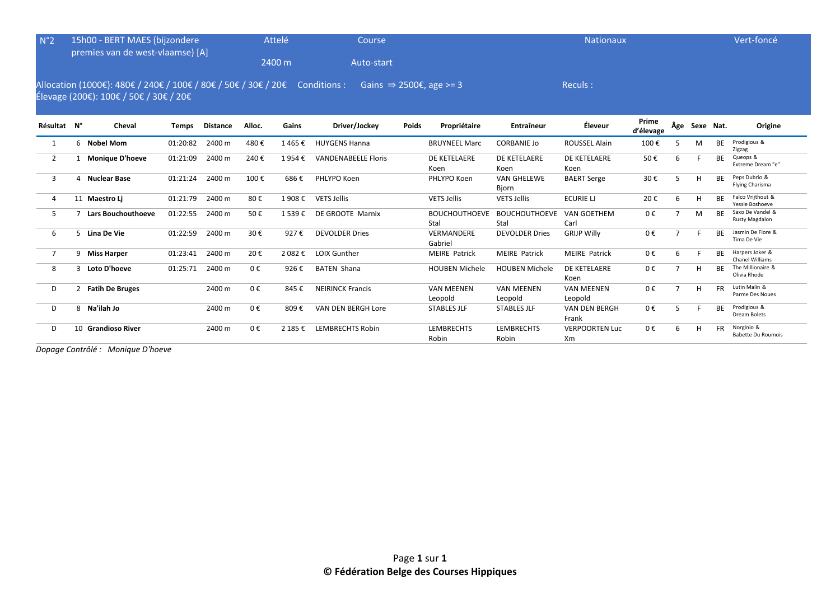| N°2            | 15h00 - BERT MAES (bijzondere<br>premies van de west-vlaamse) [A] |                                                                                                                       |              |                 |         | Attelé<br>2400 m | <b>Course</b><br>Auto-start         |              |                              |                              |                               | Vert-foncé         |                |               |           |                                         |
|----------------|-------------------------------------------------------------------|-----------------------------------------------------------------------------------------------------------------------|--------------|-----------------|---------|------------------|-------------------------------------|--------------|------------------------------|------------------------------|-------------------------------|--------------------|----------------|---------------|-----------|-----------------------------------------|
|                |                                                                   | Allocation (1000€): 480€ / 240€ / 100€ / 80€ / 50€ / 30€ / 20€ Conditions :<br>Élevage (200€): 100€ / 50€ / 30€ / 20€ |              |                 |         |                  | Gains $\Rightarrow$ 2500€, age >= 3 |              |                              |                              | <b>Reculs:</b>                |                    |                |               |           |                                         |
| Résultat N°    |                                                                   | Cheval                                                                                                                | <b>Temps</b> | <b>Distance</b> | Alloc.  | Gains            | Driver/Jockey                       | <b>Poids</b> | Propriétaire                 | Entraîneur                   | Éleveur                       | Prime<br>d'élevage |                | Âge Sexe Nat. |           | Origine                                 |
|                |                                                                   | 6 Nobel Mom                                                                                                           | 01:20:82     | 2400 m          | 480€    | 1465€            | <b>HUYGENS Hanna</b>                |              | <b>BRUYNEEL Marc</b>         | <b>CORBANIE Jo</b>           | <b>ROUSSEL Alain</b>          | 100€               |                | M             | <b>BE</b> | Prodigious &<br>Zigzag                  |
| $\overline{2}$ |                                                                   | <b>Monique D'hoeve</b>                                                                                                | 01:21:09     | 2400 m          | 240€    | 1954€            | <b>VANDENABEELE Floris</b>          |              | DE KETELAERE<br>Koen         | DE KETELAERE<br>Koen         | DE KETELAERE<br>Koen          | 50€                | 6              |               | <b>BE</b> | Queops &<br>Extreme Dream "e"           |
| 3              | 4                                                                 | <b>Nuclear Base</b>                                                                                                   | 01:21:24     | 2400 m          | 100€    | 686€             | PHLYPO Koen                         |              | PHLYPO Koen                  | <b>VAN GHELEWE</b><br>Bjorn  | <b>BAERT Serge</b>            | 30€                | 5              | H             | <b>BE</b> | Peps Dubrio &<br>Flying Charisma        |
| 4              |                                                                   | 11 Maestro Li                                                                                                         | 01:21:79     | 2400 m          | 80€     | 1 908€           | <b>VETS Jellis</b>                  |              | <b>VETS Jellis</b>           | <b>VETS Jellis</b>           | <b>ECURIE LI</b>              | 20€                | 6              | H             | <b>BE</b> | Falco Vrijthout &<br>Yessie Boshoeve    |
| 5              |                                                                   | <b>Lars Bouchouthoeve</b>                                                                                             | 01:22:55     | 2400 m          | 50€     | 1539€            | DE GROOTE Marnix                    |              | <b>BOUCHOUTHOEVE</b><br>Stal | <b>BOUCHOUTHOEVE</b><br>Stal | <b>VAN GOETHEM</b><br>Carl    | 0€                 | $\overline{ }$ | M             | <b>BE</b> | Saxo De Vandel &<br>Rusty Magdalon      |
| 6              |                                                                   | 5 Lina De Vie                                                                                                         | 01:22:59     | 2400 m          | 30€     | 927€             | <b>DEVOLDER Dries</b>               |              | VERMANDERE<br>Gabriel        | <b>DEVOLDER Dries</b>        | <b>GRIJP Willy</b>            | 0€                 |                |               | <b>BE</b> | Jasmin De Flore &<br>Tima De Vie        |
| 7              |                                                                   | 9 Miss Harper                                                                                                         | 01:23:41     | 2400 m          | 20€     | 2 082 €          | <b>LOIX Gunther</b>                 |              | <b>MEIRE Patrick</b>         | <b>MEIRE Patrick</b>         | <b>MEIRE Patrick</b>          | 0€                 | 6              |               | <b>BF</b> | Harpers Joker &<br>Chanel Williams      |
| 8              |                                                                   | 3 Loto D'hoeve                                                                                                        | 01:25:71     | 2400 m          | 0€      | 926€             | <b>BATEN Shana</b>                  |              | <b>HOUBEN Michele</b>        | <b>HOUBEN Michele</b>        | DE KETELAERE<br>Koen          | 0€                 |                | H             | <b>BE</b> | The Millionaire &<br>Olivia Rhode       |
| D              | $2^{\circ}$                                                       | <b>Fatih De Bruges</b>                                                                                                |              | 2400 m          | 0€      | 845€             | <b>NEIRINCK Francis</b>             |              | <b>VAN MEENEN</b><br>Leopold | <b>VAN MEENEN</b><br>Leopold | <b>VAN MEENEN</b><br>Leopold  | 0€                 | $\overline{7}$ | H             | <b>FR</b> | Lutin Malin &<br>Parme Des Noues        |
| D              | 8                                                                 | Na'ilah Jo                                                                                                            |              | 2400 m          | $0 \in$ | 809€             | VAN DEN BERGH Lore                  |              | <b>STABLES JLF</b>           | <b>STABLES JLF</b>           | <b>VAN DEN BERGH</b><br>Frank | 0€                 | 5              |               | <b>BE</b> | Prodigious &<br>Dream Bolets            |
| D              |                                                                   | 10 Grandioso River                                                                                                    |              | 2400 m          | 0€      | 2 185 €          | <b>LEMBRECHTS Robin</b>             |              | <b>LEMBRECHTS</b><br>Robin   | <b>LEMBRECHTS</b><br>Robin   | <b>VERPOORTEN Luc</b><br>Xm   | 0€                 | 6              | H             | <b>FR</b> | Norginio &<br><b>Babette Du Roumois</b> |

*Dopage Contrôlé : Monique D'hoeve*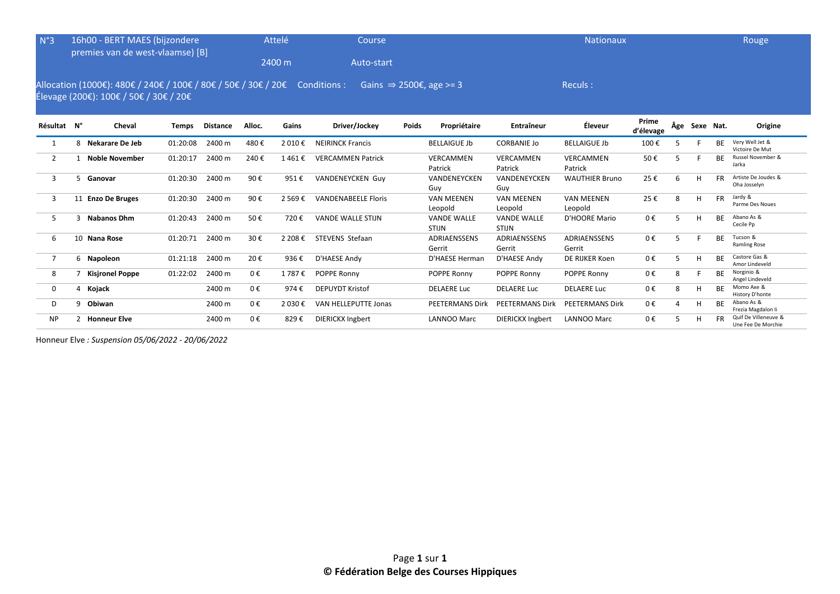| N°3            |    | 16h00 - BERT MAES (bijzondere<br>premies van de west-vlaamse) [B]                                                     |              |                 |         | Attelé   | Course                     |              |                                     |                                    | <b>Nationaux</b>             |                    |     |           |           | Rouge                                      |
|----------------|----|-----------------------------------------------------------------------------------------------------------------------|--------------|-----------------|---------|----------|----------------------------|--------------|-------------------------------------|------------------------------------|------------------------------|--------------------|-----|-----------|-----------|--------------------------------------------|
|                |    |                                                                                                                       |              |                 |         | 2400 m   | Auto-start                 |              |                                     |                                    |                              |                    |     |           |           |                                            |
|                |    | Allocation (1000€): 480€ / 240€ / 100€ / 80€ / 50€ / 30€ / 20€ Conditions :<br>Élevage (200€): 100€ / 50€ / 30€ / 20€ |              |                 |         |          |                            |              | Gains $\Rightarrow$ 2500€, age >= 3 |                                    | Reculs:                      |                    |     |           |           |                                            |
| Résultat N°    |    | Cheval                                                                                                                | <b>Temps</b> | <b>Distance</b> | Alloc.  | Gains    | Driver/Jockey              | <b>Poids</b> | Propriétaire                        | Entraîneur                         | Éleveur                      | Prime<br>d'élevage | Âge | Sexe Nat. |           | Origine                                    |
| 1              | 8  | Nekarare De Jeb                                                                                                       | 01:20:08     | 2400 m          | 480€    | 2 010€   | <b>NEIRINCK Francis</b>    |              | <b>BELLAIGUE Jb</b>                 | <b>CORBANIE Jo</b>                 | <b>BELLAIGUE Jb</b>          | 100€               | 5   |           | <b>BE</b> | Very Well Jet &<br>Victoire De Mut         |
| $\overline{2}$ |    | <b>Noble November</b>                                                                                                 | 01:20:17     | 2400 m          | 240€    | 1461€    | <b>VERCAMMEN Patrick</b>   |              | VERCAMMEN<br>Patrick                | VERCAMMEN<br>Patrick               | VERCAMMEN<br>Patrick         | 50€                | 5   |           | <b>BE</b> | Russel November &<br>Jarka                 |
| 3              | 5  | Ganovar                                                                                                               | 01:20:30     | 2400 m          | 90€     | 951€     | <b>VANDENEYCKEN Guy</b>    |              | VANDENEYCKEN<br>Guy                 | VANDENEYCKEN<br>Guy                | <b>WAUTHIER Bruno</b>        | 25€                | 6   | H         | <b>FR</b> | Artiste De Joudes &<br>Oha Josselyn        |
| 3              |    | 11 Enzo De Bruges                                                                                                     | 01:20:30     | 2400 m          | 90€     | 2 5 6 9€ | <b>VANDENABEELE Floris</b> |              | <b>VAN MEENEN</b><br>Leopold        | <b>VAN MEENEN</b><br>Leopold       | <b>VAN MEENEN</b><br>Leopold | 25€                | 8   | H         | <b>FR</b> | Jardy &<br>Parme Des Noues                 |
| 5              |    | <b>Nabanos Dhm</b>                                                                                                    | 01:20:43     | 2400 m          | 50€     | 720€     | <b>VANDE WALLE STIJN</b>   |              | <b>VANDE WALLE</b><br><b>STIJN</b>  | <b>VANDE WALLE</b><br><b>STIJN</b> | D'HOORE Mario                | 0€                 |     | H         | <b>BE</b> | Abano As &<br>Cecile Pp                    |
| 6              | 10 | Nana Rose                                                                                                             | 01:20:71     | 2400 m          | 30€     | 2 208€   | <b>STEVENS Stefaan</b>     |              | ADRIAENSSENS<br>Gerrit              | <b>ADRIAENSSENS</b><br>Gerrit      | ADRIAENSSENS<br>Gerrit       | 0€                 | 5   |           | <b>BE</b> | Tucson &<br><b>Ramling Rose</b>            |
| $\overline{7}$ |    | 6 Napoleon                                                                                                            | 01:21:18     | 2400 m          | 20€     | 936€     | D'HAESE Andy               |              | D'HAESE Herman                      | D'HAESE Andy                       | DE RIJKER Koen               | 0€                 |     | H         | <b>BE</b> | Castore Gas &<br>Amor Lindeveld            |
| 8              |    | <b>Kisjronel Poppe</b>                                                                                                | 01:22:02     | 2400 m          | $0 \in$ | 1 787 €  | POPPE Ronny                |              | POPPE Ronny                         | POPPE Ronny                        | POPPE Ronny                  | 0€                 | 8   |           | <b>BE</b> | Norginio &<br>Angel Lindeveld              |
| 0              | 4  | Kojack                                                                                                                |              | 2400 m          | $0 \in$ | 974€     | <b>DEPUYDT Kristof</b>     |              | <b>DELAERE Luc</b>                  | <b>DELAERE Luc</b>                 | <b>DELAERE Luc</b>           | 0€                 | 8   | Н         | <b>BF</b> | Momo Axe &<br>History D'honte              |
| D              | q  | Obiwan                                                                                                                |              | 2400 m          | $0 \in$ | 2 030€   | VAN HELLEPUTTE Jonas       |              | <b>PEETERMANS Dirk</b>              | <b>PEETERMANS Dirk</b>             | <b>PEETERMANS Dirk</b>       | 0€                 |     | н         | ВE        | Abano As &<br>Frezia Magdalon li           |
| <b>NP</b>      |    | <b>Honneur Elve</b>                                                                                                   |              | 2400 m          | 0€      | 829€     | <b>DIERICKX Ingbert</b>    |              | <b>LANNOO Marc</b>                  | <b>DIERICKX Ingbert</b>            | <b>LANNOO Marc</b>           | 0€                 |     | H         |           | Quif De Villeneuve &<br>Une Fee De Morchie |

Honneur Elve *: Suspension 05/06/2022 - 20/06/2022*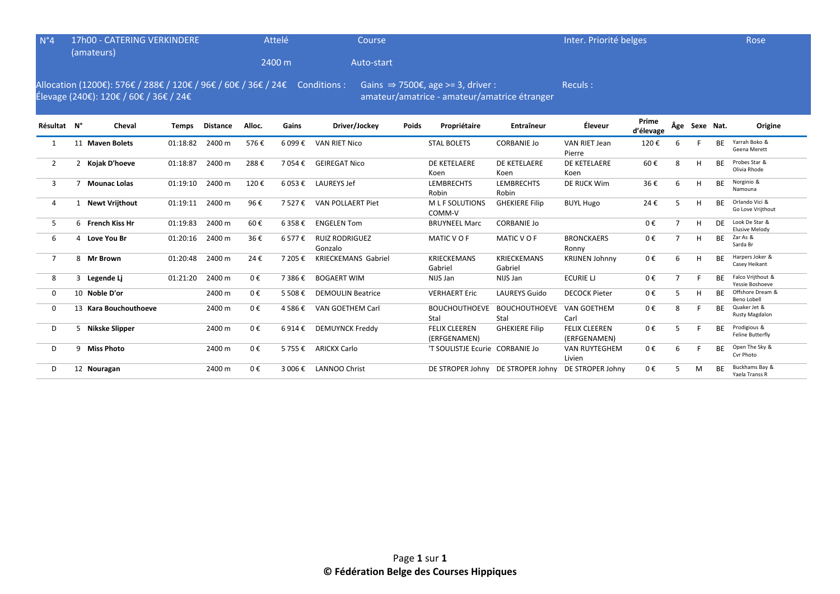| $N^{\circ}4$   | 17h00 - CATERING VERKINDERE<br>(amateurs)                                                                                                                                                                              |                       |          |                 |        | Attelé  | Course                           |       |                                      |                                   | Inter. Priorité belges               |                    |                |               |           | Rose                                    |
|----------------|------------------------------------------------------------------------------------------------------------------------------------------------------------------------------------------------------------------------|-----------------------|----------|-----------------|--------|---------|----------------------------------|-------|--------------------------------------|-----------------------------------|--------------------------------------|--------------------|----------------|---------------|-----------|-----------------------------------------|
|                |                                                                                                                                                                                                                        |                       |          |                 |        | 2400 m  | Auto-start                       |       |                                      |                                   |                                      |                    |                |               |           |                                         |
|                | Allocation (1200€): 576€ / 288€ / 120€ / 96€ / 60€ / 36€ / 24€ Conditions :<br>Gains $\Rightarrow$ 7500€, age >= 3, driver :<br>Élevage (240€): 120€ / 60€ / 36€ / 24€<br>amateur/amatrice - amateur/amatrice étranger |                       |          |                 |        |         |                                  |       |                                      |                                   | Reculs:                              |                    |                |               |           |                                         |
| Résultat N°    |                                                                                                                                                                                                                        | Cheval                | Temps    | <b>Distance</b> | Alloc. | Gains   | Driver/Jockey                    | Poids | Propriétaire                         | Entraîneur                        | Éleveur                              | Prime<br>d'élevage |                | Âge Sexe Nat. |           | Origine                                 |
| 1              |                                                                                                                                                                                                                        | 11 Maven Bolets       | 01:18:82 | 2400 m          | 576€   | 6 099€  | <b>VAN RIET Nico</b>             |       | <b>STAL BOLETS</b>                   | <b>CORBANIE Jo</b>                | <b>VAN RIET Jean</b><br>Pierre       | 120€               | 6              |               | <b>BE</b> | Yarrah Boko &<br>Geena Merett           |
| $\overline{2}$ |                                                                                                                                                                                                                        | 2 Kojak D'hoeve       | 01:18:87 | 2400 m          | 288€   | 7 054€  | <b>GEIREGAT Nico</b>             |       | DE KETELAERE<br>Koen                 | DE KETELAERE<br>Koen              | DE KETELAERE<br>Koen                 | 60€                | 8              | н             | <b>BF</b> | Probes Star &<br>Olivia Rhode           |
| 3              |                                                                                                                                                                                                                        | 7 Mounac Lolas        | 01:19:10 | 2400 m          | 120€   | 6 053 € | <b>LAUREYS Jef</b>               |       | LEMBRECHTS<br>Robin                  | <b>LEMBRECHTS</b><br>Robin        | DE RIJCK Wim                         | 36€                | 6              | H             | <b>BF</b> | Norginio &<br>Namouna                   |
| $\overline{4}$ |                                                                                                                                                                                                                        | 1 Newt Vrijthout      | 01:19:11 | 2400 m          | 96€    | 7527€   | VAN POLLAERT Piet                |       | M L F SOLUTIONS<br>COMM-V            | <b>GHEKIERE Filip</b>             | <b>BUYL Hugo</b>                     | 24€                | 5              | H             | <b>BE</b> | Orlando Vici &<br>Go Love Vrijthout     |
| 5              |                                                                                                                                                                                                                        | 6 French Kiss Hr      | 01:19:83 | 2400 m          | 60€    | 6 358€  | <b>ENGELEN Tom</b>               |       | <b>BRUYNEEL Marc</b>                 | <b>CORBANIE Jo</b>                |                                      | 0€                 | $\overline{7}$ | H             | DF        | Look De Star &<br><b>Elusive Melody</b> |
| 6              |                                                                                                                                                                                                                        | 4 Love You Br         | 01:20:16 | 2400 m          | 36€    | 6577€   | <b>RUIZ RODRIGUEZ</b><br>Gonzalo |       | MATIC VOF                            | MATIC VOF                         | <b>BRONCKAERS</b><br>Ronny           | 0€                 | $\overline{7}$ | H             | <b>BE</b> | Zar As &<br>Sarda Br                    |
| $\overline{7}$ |                                                                                                                                                                                                                        | 8 Mr Brown            | 01:20:48 | 2400 m          | 24€    | 7 205€  | <b>KRIECKEMANS Gabriel</b>       |       | <b>KRIECKEMANS</b><br>Gabriel        | <b>KRIECKEMANS</b><br>Gabriel     | <b>KRIJNEN Johnny</b>                | 0€                 | 6              | H             | <b>RF</b> | Harpers Joker &<br>Casey Heikant        |
| 8              |                                                                                                                                                                                                                        | 3 Legende Li          | 01:21:20 | 2400 m          | 0€     | 7 386€  | <b>BOGAERT WIM</b>               |       | NIJS Jan                             | NIJS Jan                          | <b>ECURIE LJ</b>                     | 0€                 | 7              |               | <b>BF</b> | Falco Vrijthout &<br>Yessie Boshoeve    |
| $\mathbf 0$    |                                                                                                                                                                                                                        | 10 Noble D'or         |          | 2400 m          | 0€     | 5 508€  | <b>DEMOULIN Beatrice</b>         |       | <b>VERHAERT Eric</b>                 | <b>LAUREYS Guido</b>              | <b>DECOCK Pieter</b>                 | 0€                 | 5              | н             | <b>BE</b> | Offshore Dream &<br><b>Beno Lobell</b>  |
| $\mathbf 0$    |                                                                                                                                                                                                                        | 13 Kara Bouchouthoeve |          | 2400 m          | 0€     | 4 586€  | VAN GOETHEM Carl                 |       | <b>BOUCHOUTHOEVE</b><br>Stal         | <b>BOUCHOUTHOEVE</b><br>Stal      | VAN GOETHEM<br>Carl                  | 0€                 | 8              |               | <b>BE</b> | Quaker Jet &<br><b>Rusty Magdalon</b>   |
| D              |                                                                                                                                                                                                                        | 5 Nikske Slipper      |          | 2400 m          | 0€     | 6 914 € | <b>DEMUYNCK Freddy</b>           |       | <b>FELIX CLEEREN</b><br>(ERFGENAMEN) | <b>GHEKIERE Filip</b>             | <b>FELIX CLEEREN</b><br>(ERFGENAMEN) | 0€                 | 5              |               | <b>BF</b> | Prodigious &<br>Feline Butterfly        |
| D              |                                                                                                                                                                                                                        | 9 Miss Photo          |          | 2400 m          | 0€     | 5755€   | <b>ARICKX Carlo</b>              |       | 'T SOULISTJE Ecurie CORBANIE Jo      |                                   | <b>VAN RUYTEGHEM</b><br>Livien       | 0€                 | 6              |               | <b>BF</b> | Open The Sky &<br>Cvr Photo             |
| D              |                                                                                                                                                                                                                        | 12 Nouragan           |          | 2400 m          | 0€     | 3 006 € | <b>LANNOO Christ</b>             |       |                                      | DE STROPER Johny DE STROPER Johny | DE STROPER Johny                     | 0€                 | 5              | M             | <b>BE</b> | Buckhams Bay &<br>Yaela Transs R        |